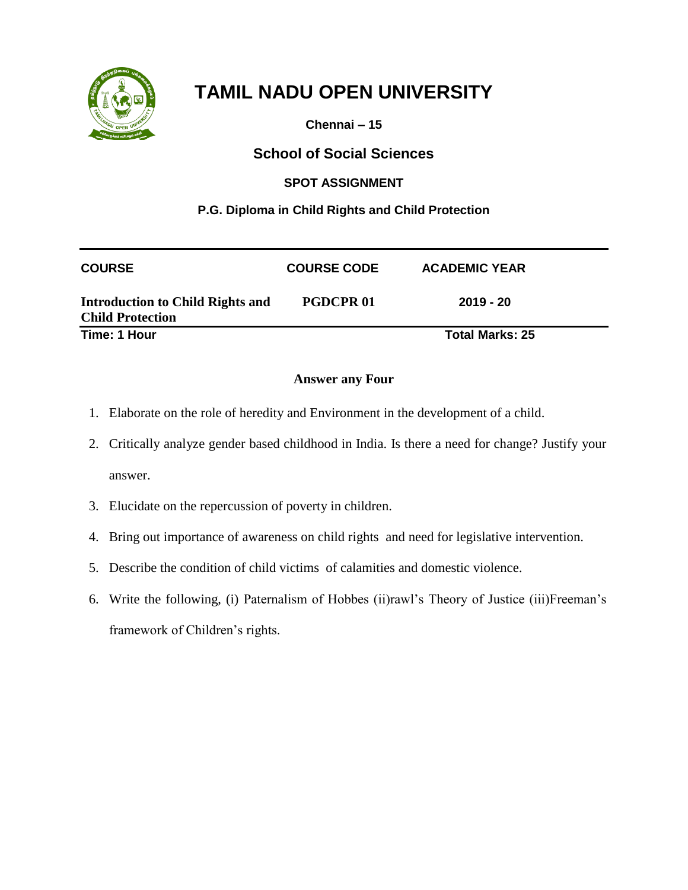

**Chennai – 15**

## **School of Social Sciences**

### **SPOT ASSIGNMENT**

### **P.G. Diploma in Child Rights and Child Protection**

| <b>COURSE</b>                                                      | <b>COURSE CODE</b> | <b>ACADEMIC YEAR</b>   |
|--------------------------------------------------------------------|--------------------|------------------------|
| <b>Introduction to Child Rights and</b><br><b>Child Protection</b> | <b>PGDCPR01</b>    | $2019 - 20$            |
| Time: 1 Hour                                                       |                    | <b>Total Marks: 25</b> |

- 1. Elaborate on the role of heredity and Environment in the development of a child.
- 2. Critically analyze gender based childhood in India. Is there a need for change? Justify your answer.
- 3. Elucidate on the repercussion of poverty in children.
- 4. Bring out importance of awareness on child rights and need for legislative intervention.
- 5. Describe the condition of child victims of calamities and domestic violence.
- 6. Write the following, (i) Paternalism of Hobbes (ii)rawl's Theory of Justice (iii)Freeman's framework of Children's rights.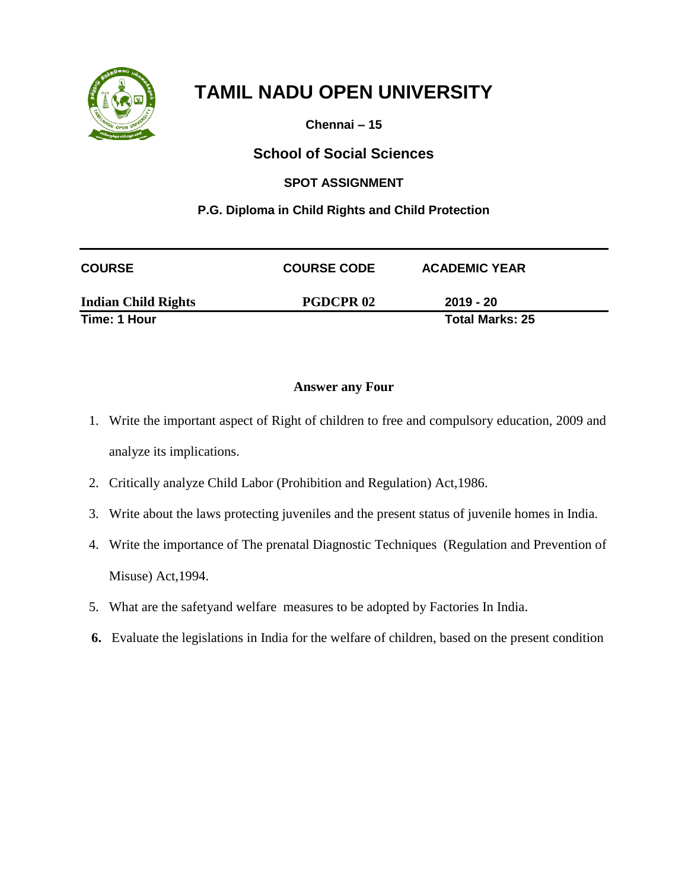

**Chennai – 15**

## **School of Social Sciences**

### **SPOT ASSIGNMENT**

### **P.G. Diploma in Child Rights and Child Protection**

| <b>COURSE</b>              | <b>COURSE CODE</b> | <b>ACADEMIC YEAR</b>   |  |
|----------------------------|--------------------|------------------------|--|
| <b>Indian Child Rights</b> | <b>PGDCPR02</b>    | $2019 - 20$            |  |
| Time: 1 Hour               |                    | <b>Total Marks: 25</b> |  |

- 1. Write the important aspect of Right of children to free and compulsory education, 2009 and analyze its implications.
- 2. Critically analyze Child Labor (Prohibition and Regulation) Act,1986.
- 3. Write about the laws protecting juveniles and the present status of juvenile homes in India.
- 4. Write the importance of The prenatal Diagnostic Techniques (Regulation and Prevention of Misuse) Act,1994.
- 5. What are the safetyand welfare measures to be adopted by Factories In India.
- **6.** Evaluate the legislations in India for the welfare of children, based on the present condition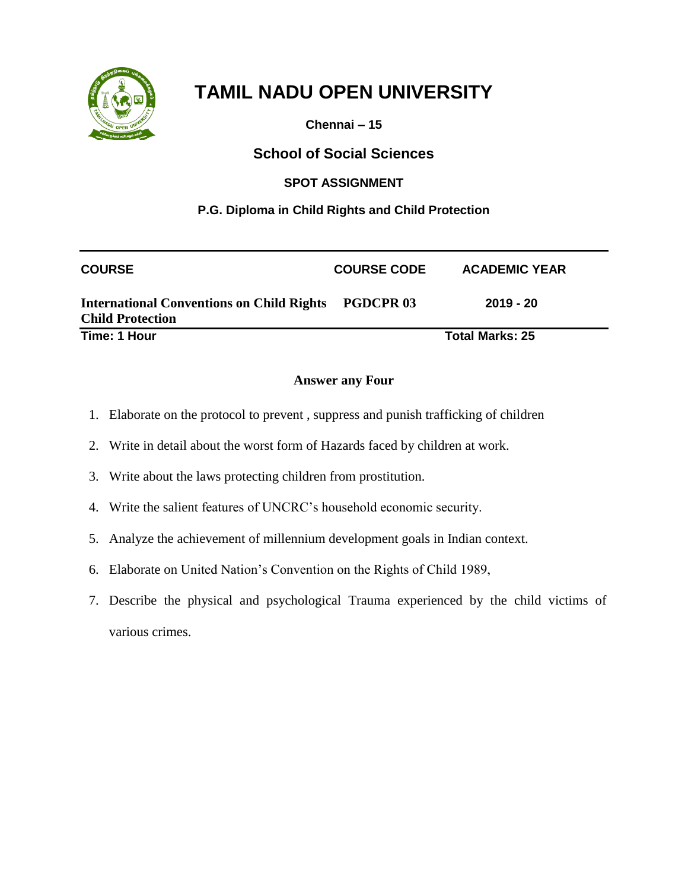

**Chennai – 15**

## **School of Social Sciences**

#### **SPOT ASSIGNMENT**

### **P.G. Diploma in Child Rights and Child Protection**

| <b>COURSE</b>                                                                         | <b>COURSE CODE</b> | <b>ACADEMIC YEAR</b>   |  |
|---------------------------------------------------------------------------------------|--------------------|------------------------|--|
| <b>International Conventions on Child Rights PGDCPR 03</b><br><b>Child Protection</b> |                    | 2019 - 20              |  |
| Time: 1 Hour                                                                          |                    | <b>Total Marks: 25</b> |  |

- 1. Elaborate on the protocol to prevent , suppress and punish trafficking of children
- 2. Write in detail about the worst form of Hazards faced by children at work.
- 3. Write about the laws protecting children from prostitution.
- 4. Write the salient features of UNCRC's household economic security.
- 5. Analyze the achievement of millennium development goals in Indian context.
- 6. Elaborate on United Nation's Convention on the Rights of Child 1989,
- 7. Describe the physical and psychological Trauma experienced by the child victims of various crimes.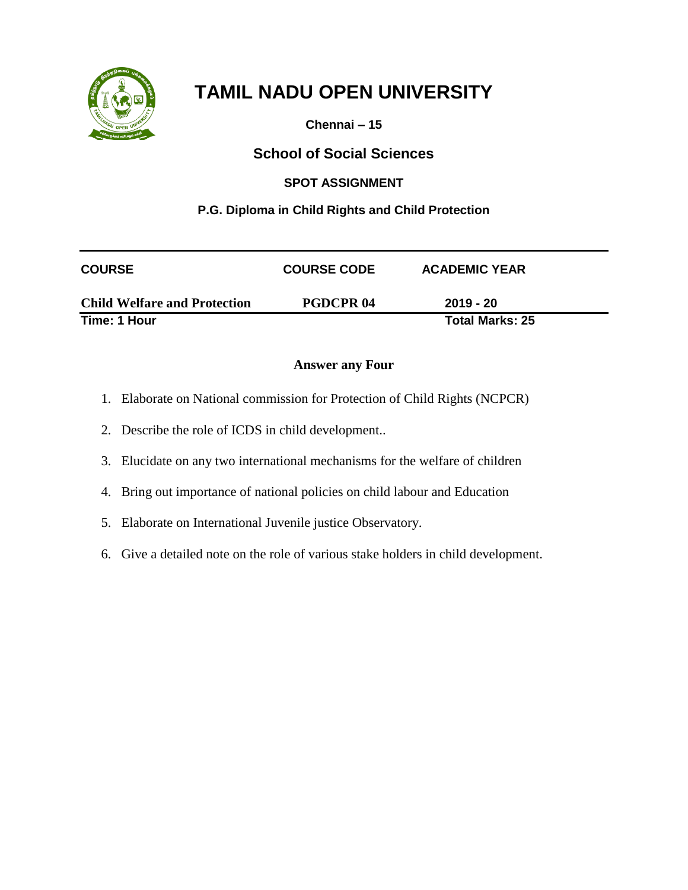

**Chennai – 15**

## **School of Social Sciences**

### **SPOT ASSIGNMENT**

### **P.G. Diploma in Child Rights and Child Protection**

| <b>COURSE</b>                       | <b>COURSE CODE</b> | <b>ACADEMIC YEAR</b>   |
|-------------------------------------|--------------------|------------------------|
| <b>Child Welfare and Protection</b> | <b>PGDCPR04</b>    | $2019 - 20$            |
| Time: 1 Hour                        |                    | <b>Total Marks: 25</b> |

- 1. Elaborate on National commission for Protection of Child Rights (NCPCR)
- 2. Describe the role of ICDS in child development..
- 3. Elucidate on any two international mechanisms for the welfare of children
- 4. Bring out importance of national policies on child labour and Education
- 5. Elaborate on International Juvenile justice Observatory.
- 6. Give a detailed note on the role of various stake holders in child development.